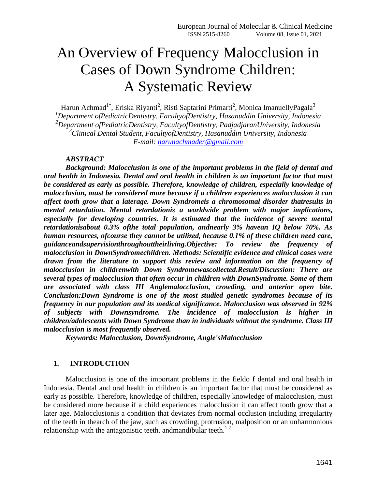# An Overview of Frequency Malocclusion in Cases of Down Syndrome Children: A Systematic Review

Harun Achmad<sup>1\*</sup>, Eriska Riyanti<sup>2</sup>, Risti Saptarini Primarti<sup>2</sup>, Monica ImanuellyPagala<sup>3</sup> *<sup>1</sup>Department ofPediatricDentistry, FacultyofDentistry, Hasanuddin University, Indonesia <sup>2</sup>Department ofPediatricDentistry, FacultyofDentistry, PadjadjaranUniversity, Indonesia <sup>3</sup>Clinical Dental Student, FacultyofDentistry, Hasanuddin University, Indonesia E-mail: [harunachmader@gmail.com](mailto:harunachmader@gmail.com)*

#### *ABSTRACT*

*Background: Malocclusion is one of the important problems in the field of dental and oral health in Indonesia. Dental and oral health in children is an important factor that must be considered as early as possible. Therefore, knowledge of children, especially knowledge of malocclusion, must be considered more because if a children experiences malocclusion it can affect tooth grow that a laterage. Down Syndromeis a chromosomal disorder thatresults in mental retardation. Mental retardationis a worldwide problem with major implications, especially for developing countries. It is estimated that the incidence of severe mental retardationisabout 0.3% ofthe total population, andnearly 3% havean IQ below 70%. As human resources, ofcourse they cannot be utilized, because 0.1% of these children need care, guidanceandsupervisionthroughouttheirliving.Objective: To review the frequency of malocclusion in DownSyndromechildren. Methods: Scientific evidence and clinical cases were drawn from the literature to support this review and information on the frequency of malocclusion in childrenwith Down Syndromewascollected.Result/Discussion: There are several types of malocclusion that often occur in children with DownSyndrome. Some of them are associated with class III Anglemalocclusion, crowding, and anterior open bite. Conclusion:Down Syndrome is one of the most studied genetic syndromes because of its frequency in our population and its medical significance. Malocclusion was observed in 92% of subjects with Downsyndrome. The incidence of malocclusion is higher in children/adolescents with Down Syndrome than in individuals without the syndrome. Class III malocclusion is most frequently observed.*

*Keywords: Malocclusion, DownSyndrome, Angle'sMalocclusion*

#### **1. INTRODUCTION**

Malocclusion is one of the important problems in the fieldo f dental and oral health in Indonesia. Dental and oral health in children is an important factor that must be considered as early as possible. Therefore, knowledge of children, especially knowledge of malocclusion, must be considered more because if a child experiences malocclusion it can affect tooth grow that a later age. Malocclusionis a condition that deviates from normal occlusion including irregularity of the teeth in thearch of the jaw, such as crowding, protrusion, malposition or an unharmonious relationship with the antagonistic teeth. and mandibular teeth.<sup>1,2</sup>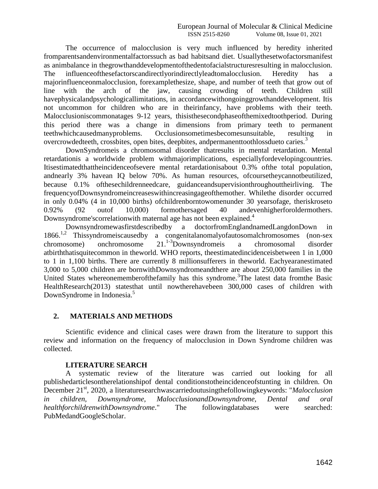The occurrence of malocclusion is very much influenced by heredity inherited fromparentsandenvironmentalfactorssuch as bad habitsand diet. Usuallythesetwofactorsmanifest as animbalance in thegrowthanddevelopmentofthedentofacialstructuresresulting in malocclusion. The influenceofthesefactorscandirectlyorindirectlyleadtomalocclusion. Heredity has a majorinfluenceonmalocclusion, forexamplethesize, shape, and number of teeth that grow out of line with the arch of the jaw, causing crowding of teeth. Children still havephysicalandpsychologicallimitations, in accordancewithongoinggrowthanddevelopment. Itis not uncommon for children who are in theirinfancy, have problems with their teeth. Malocclusioniscommonatages 9-12 years, thisisthesecondphaseofthemixedtoothperiod. During this period there was a change in dimensions from primary teeth to permanent teethwhichcausedmanyproblems. Occlusionsometimesbecomesunsuitable, resulting in overcrowdedteeth, crossbites, open bites, deepbites, and permanent toothloss due to caries.<sup>3</sup>

DownSyndromeis a chromosomal disorder thatresults in mental retardation. Mental retardationis a worldwide problem withmajorimplications, especiallyfordevelopingcountries. Itisestimatedthattheincidenceofsevere mental retardationisabout 0.3% ofthe total population, andnearly 3% havean IQ below 70%. As human resources, ofcoursetheycannotbeutilized, because 0.1% ofthesechildrenneedcare, guidanceandsupervisionthroughouttheirliving. The frequencyofDownsyndromeincreaseswithincreasingageofthemother. Whilethe disorder occurred in only 0.04% (4 in 10,000 births) ofchildrenborntowomenunder 30 yearsofage, theriskroseto 0.92% (92 outof 10,000) formothersaged 40 andevenhigherforoldermothers. Downsyndrome's correlation with maternal age has not been explained.<sup>4</sup>

Downsyndromewasfirstdescribedby a doctorfromEnglandnamedLangdonDown in 1866.1,2 Thissyndromeiscausedby a congenitalanomalyofautosomalchromosomes (non-sex chromosome) onchromosome 21.<sup>1-3</sup>Downsyndromeis a chromosomal disorder atbirththatisquitecommon in theworld. WHO reports, theestimatedincidenceisbetween 1 in 1,000 to 1 in 1,100 births. There are currently 8 millionsufferers in theworld. Eachyearanestimated 3,000 to 5,000 children are bornwithDownsyndromeandthere are about 250,000 families in the United States whereonememberofthefamily has this syndrome.<sup>3</sup>The latest data from the Basic HealthResearch(2013) statesthat until nowtherehavebeen 300,000 cases of children with DownSyndrome in Indonesia.<sup>5</sup>

## **2. MATERIALS AND METHODS**

Scientific evidence and clinical cases were drawn from the literature to support this review and information on the frequency of malocclusion in Down Syndrome children was collected.

#### **LITERATURE SEARCH**

A systematic review of the literature was carried out looking for all publishedarticlesontherelationshipof dental conditionstotheincidenceofstunting in children. On December 21<sup>st</sup>, 2020, a literaturesearchwascarriedoutusingthefollowingkeywords: "*Malocclusion in children, Downsyndrome, MalocclusionandDownsyndrome, Dental and oral healthforchildrenwithDownsyndrome*." The followingdatabases were searched: PubMedandGoogleScholar.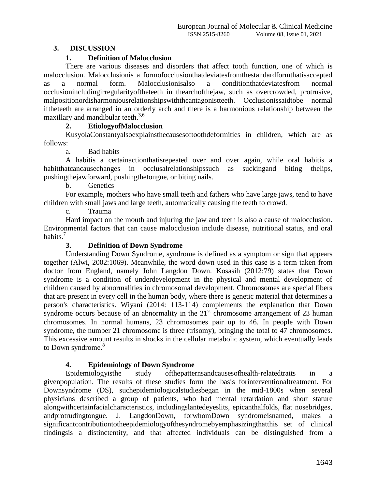## **3. DISCUSSION**

# **1. Definition of Malocclusion**

There are various diseases and disorders that affect tooth function, one of which is malocclusion. Malocclusionis a formofocclusionthatdeviatesfromthestandardformthatisaccepted as a normal form. Malocclusionisalso a conditionthatdeviatesfrom normal occlusionincludingirregularityoftheteeth in thearchofthejaw, such as overcrowded, protrusive, malpositionordisharmoniousrelationshipswiththeantagonistteeth. Occlusionissaidtobe normal iftheteeth are arranged in an orderly arch and there is a harmonious relationship between the maxillary and mandibular teeth.<sup>3,6</sup>

# **2. EtiologyofMalocclusion**

KusyolaConstantyalsoexplainsthecausesoftoothdeformities in children, which are as follows:

a. Bad habits

A habitis a certainactionthatisrepeated over and over again, while oral habitis a habitthatcancausechanges in occlusalrelationshipssuch as suckingand biting thelips, pushingthejawforward, pushingthetongue, or biting nails.

b. Genetics

For example, mothers who have small teeth and fathers who have large jaws, tend to have children with small jaws and large teeth, automatically causing the teeth to crowd.

c. Trauma

Hard impact on the mouth and injuring the jaw and teeth is also a cause of malocclusion. Environmental factors that can cause malocclusion include disease, nutritional status, and oral habits. $\frac{7}{7}$ 

## **3. Definition of Down Syndrome**

Understanding Down Syndrome, syndrome is defined as a symptom or sign that appears together (Alwi, 2002:1069). Meanwhile, the word down used in this case is a term taken from doctor from England, namely John Langdon Down. Kosasih (2012:79) states that Down syndrome is a condition of underdevelopment in the physical and mental development of children caused by abnormalities in chromosomal development. Chromosomes are special fibers that are present in every cell in the human body, where there is genetic material that determines a person's characteristics. Wiyani (2014: 113-114) complements the explanation that Down syndrome occurs because of an abnormality in the  $21<sup>st</sup>$  chromosome arrangement of 23 human chromosomes. In normal humans, 23 chromosomes pair up to 46. In people with Down syndrome, the number 21 chromosome is three (trisomy), bringing the total to 47 chromosomes. This excessive amount results in shocks in the cellular metabolic system, which eventually leads to Down syndrome.<sup>8</sup>

## **4. Epidemiology of Down Syndrome**

Epidemiologyisthe study ofthepatternsandcausesofhealth-relatedtraits in a givenpopulation. The results of these studies form the basis forinterventionaltreatment. For Downsyndrome (DS), suchepidemiologicalstudiesbegan in the mid-1800s when several physicians described a group of patients, who had mental retardation and short stature alongwithcertainfacialcharacteristics, includingslantedeyeslits, epicanthalfolds, flat nosebridges, andprotrudingtongue. J. LangdonDown, forwhomDown syndromeisnamed, makes a significantcontributiontotheepidemiologyofthesyndromebyemphasizingthatthis set of clinical findingsis a distinctentity, and that affected individuals can be distinguished from a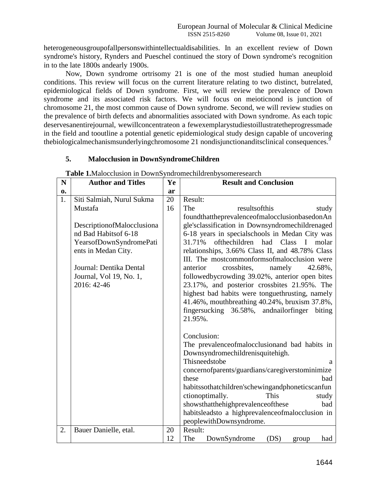heterogeneousgroupofallpersonswithintellectualdisabilities. In an excellent review of Down syndrome's history, Rynders and Pueschel continued the story of Down syndrome's recognition in to the late 1800s andearly 1900s.

Now, Down syndrome ortrisomy 21 is one of the most studied human aneuploid conditions. This review will focus on the current literature relating to two distinct, butrelated, epidemiological fields of Down syndrome. First, we will review the prevalence of Down syndrome and its associated risk factors. We will focus on meioticnond is junction of chromosome 21, the most common cause of Down syndrome. Second, we will review studies on the prevalence of birth defects and abnormalities associated with Down syndrome. As each topic deservesanentirejournal, wewillconcentrateon a fewexemplarystudiestoillustratetheprogressmade in the field and tooutline a potential genetic epidemiological study design capable of uncovering thebiologicalmechanismsunderlyingchromosome 21 nondisjunctionanditsclinical consequences.<sup>9</sup>

## **5. Malocclusion in DownSyndromeChildren**

| N  | <b>Author and Titles</b>   | Ye | <b>Result and Conclusion</b>                                     |
|----|----------------------------|----|------------------------------------------------------------------|
| 0. |                            | ar |                                                                  |
| 1. | Siti Salmiah, Nurul Sukma  | 20 | Result:                                                          |
|    | Mustafa                    | 16 | The<br>resultsofthis<br>study                                    |
|    |                            |    | foundthattheprevalenceofmalocclusionbasedonAn                    |
|    | DescriptionofMalocclusiona |    | gle'sclassification in Downsyndromechildrenaged                  |
|    | nd Bad Habits of 6-18      |    | 6-18 years in specialschools in Medan City was                   |
|    | YearsofDownSyndromePati    |    | ofthechildren<br>31.71%<br>had<br>Class<br>$\mathbf{I}$<br>molar |
|    | ents in Medan City.        |    | relationships, 3.66% Class II, and 48.78% Class                  |
|    |                            |    | III. The mostcommonformsofmalocclusion were                      |
|    | Journal: Dentika Dental    |    | crossbites,<br>namely<br>42.68%,<br>anterior                     |
|    | Journal, Vol 19, No. 1,    |    | followedbycrowding 39.02%, anterior open bites                   |
|    | 2016: 42-46                |    | 23.17%, and posterior crossbites 21.95%. The                     |
|    |                            |    | highest bad habits were tonguethrusting, namely                  |
|    |                            |    | 41.46%, mouthbreathing 40.24%, bruxism 37.8%,                    |
|    |                            |    | fingersucking 36.58%, and nail or finger<br>biting               |
|    |                            |    | 21.95%.                                                          |
|    |                            |    |                                                                  |
|    |                            |    | Conclusion:                                                      |
|    |                            |    | The prevalence of malocclusion and bad habits in                 |
|    |                            |    | Downsyndromechildrenisquitehigh.                                 |
|    |                            |    | Thisneedstobe<br>a                                               |
|    |                            |    | concernofparents/guardians/caregiverstominimize                  |
|    |                            |    | these<br>bad                                                     |
|    |                            |    | habitssothatchildren'schewingandphoneticscanfun                  |
|    |                            |    | ctionoptimally.<br>This<br>study                                 |
|    |                            |    | showsthatthehighprevalenceofthese<br>bad                         |
|    |                            |    | habitsleadsto a highprevalenceofmalocclusion in                  |
|    |                            |    | peoplewithDownsyndrome.                                          |
| 2. | Bauer Danielle, etal.      | 20 | Result:                                                          |
|    |                            | 12 | The<br>DownSyndrome<br>(DS)<br>had<br>group                      |

**Table 1.**Malocclusion in DownSyndromechildrenbysomeresearch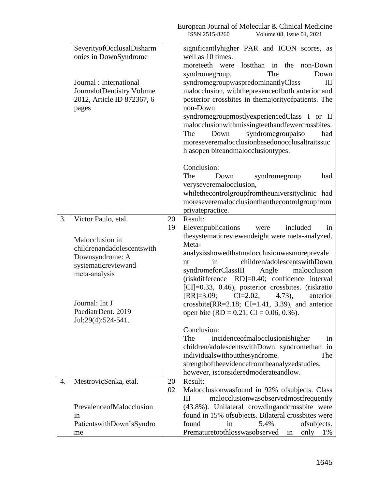|    | SeverityofOcclusalDisharm<br>onies in DownSyndrome<br>Journal : International<br>JournalofDentistry Volume<br>2012, Article ID 872367, 6<br>pages                                             |          | ISSN 2515-8260<br>Volume 08, Issue 01, 2021<br>significantlyhigher PAR and ICON scores, as<br>well as 10 times.<br>moreteeth were lost than in the<br>non-Down<br>syndromegroup.<br>The<br>Down<br>syndromegroupwaspredominantlyClass<br>III<br>malocclusion, with the presence of both anterior and<br>posterior crossbites in themajorityofpatients. The<br>non-Down<br>syndromegroupmostlyexperiencedClass I or II<br>malocclusionwithmissingteethandfewercrossbites.<br>syndromegroupalso<br>The<br>Down<br>had<br>moreseveremalocclusionbasedonocclusaltraitssuc<br>h asopen biteandmalocclusiontypes.                                                                                                                                                                        |
|----|-----------------------------------------------------------------------------------------------------------------------------------------------------------------------------------------------|----------|------------------------------------------------------------------------------------------------------------------------------------------------------------------------------------------------------------------------------------------------------------------------------------------------------------------------------------------------------------------------------------------------------------------------------------------------------------------------------------------------------------------------------------------------------------------------------------------------------------------------------------------------------------------------------------------------------------------------------------------------------------------------------------|
|    |                                                                                                                                                                                               |          | Conclusion:<br>The<br>syndromegroup<br>Down<br>had<br>veryseveremalocclusion,<br>whilethecontrolgroupfromtheuniversityclinic had<br>moreseveremalocclusionthanthecontrolgroupfrom<br>privatepractice.                                                                                                                                                                                                                                                                                                                                                                                                                                                                                                                                                                              |
| 3. | Victor Paulo, etal.<br>Malocclusion in<br>childrenandadolescentswith<br>Downsyndrome: A<br>systematicreviewand<br>meta-analysis<br>Journal: Int J<br>PaediatrDent. 2019<br>Jul;29(4):524-541. | 20<br>19 | Result:<br>Elevenpublications<br>included<br>were<br>in<br>thesystematicreviewandeight were meta-analyzed.<br>Meta-<br>analysisshowedthatmalocclusionwasmoreprevale<br>children/adolescentswithDown<br>nt<br>in<br>syndromeforClassIII<br>Angle<br>malocclusion<br>(riskdifference [RD]=0.40; confidence interval<br>[CI]=0.33, 0.46), posterior crossbites. (riskratio<br>$[RR]=3.09;$ $CI=2.02,$<br>$4.73$ ,<br>anterior<br>crossbite(RR= $2.18$ ; CI=1.41, 3.39), and anterior<br>open bite (RD = $0.21$ ; CI = 0.06, 0.36).<br>Conclusion:<br>The<br>incidenceofmalocclusionishigher<br>in<br>children/adolescentswithDown syndromethan in<br>individuals without the syndrome.<br>The<br>strengthoftheevidencefromtheanalyzedstudies,<br>however, isconsideredmoderateandlow. |
| 4. | MestrovicSenka, etal.<br>PrevalenceofMalocclusion<br>1n<br>PatientswithDown'sSyndro<br>me                                                                                                     | 20<br>02 | Result:<br>Malocclusionwasfound in 92% of subjects. Class<br>malocclusionwasobservedmostfrequently<br>Ш<br>(43.8%). Unilateral crowdingandcrossbite were<br>found in 15% of subjects. Bilateral crossbites were<br>found<br>5.4%<br>in<br>of subjects.<br>Prematuretoothlosswasobserved<br>in<br>only<br>1%                                                                                                                                                                                                                                                                                                                                                                                                                                                                        |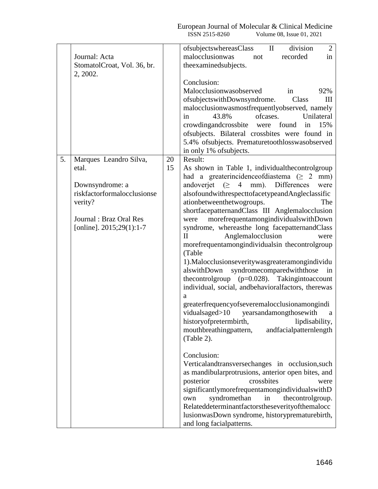|    | Journal: Acta                                                                                                                                        |          | division<br>ofsubjectswhereasClass<br>$\overline{2}$<br>$\rm{II}$<br>malocclusionwas<br>recorded<br>in<br>not                                                                                                                                                                                                                                                                                                                                                                                                                                                                                                                                                                                                                                                                                                                                                                                                                                                                                                                                                                                                                                                                                                                                                                                                                                          |
|----|------------------------------------------------------------------------------------------------------------------------------------------------------|----------|--------------------------------------------------------------------------------------------------------------------------------------------------------------------------------------------------------------------------------------------------------------------------------------------------------------------------------------------------------------------------------------------------------------------------------------------------------------------------------------------------------------------------------------------------------------------------------------------------------------------------------------------------------------------------------------------------------------------------------------------------------------------------------------------------------------------------------------------------------------------------------------------------------------------------------------------------------------------------------------------------------------------------------------------------------------------------------------------------------------------------------------------------------------------------------------------------------------------------------------------------------------------------------------------------------------------------------------------------------|
|    | StomatolCroat, Vol. 36, br.<br>2, 2002.                                                                                                              |          | the examined subjects.                                                                                                                                                                                                                                                                                                                                                                                                                                                                                                                                                                                                                                                                                                                                                                                                                                                                                                                                                                                                                                                                                                                                                                                                                                                                                                                                 |
|    |                                                                                                                                                      |          | Conclusion:<br>Malocclusionwasobserved<br>92%<br>in<br>of subjects with Downsyndrome.<br>Class<br>Ш<br>malocclusionwasmostfrequentlyobserved, namely<br>ofcases.<br>43.8%<br>in<br>Unilateral<br>crowdingandcrossbite were found<br>15%<br>in<br>ofsubjects. Bilateral crossbites were found in                                                                                                                                                                                                                                                                                                                                                                                                                                                                                                                                                                                                                                                                                                                                                                                                                                                                                                                                                                                                                                                        |
|    |                                                                                                                                                      |          | 5.4% of subjects. Premature toothloss was observed<br>in only 1% of subjects.                                                                                                                                                                                                                                                                                                                                                                                                                                                                                                                                                                                                                                                                                                                                                                                                                                                                                                                                                                                                                                                                                                                                                                                                                                                                          |
| 5. | Marques Leandro Silva,<br>etal.<br>Downsyndrome: a<br>riskfactorformalocclusionse<br>verity?<br>Journal: Braz Oral Res<br>[online]. $2015;29(1):1-7$ | 20<br>15 | Result:<br>As shown in Table 1, individual the control group<br>had a greaterincidence of diastema ( $\geq 2$ mm)<br>andoverjet $( \geq 4$ mm). Differences<br>were<br>alsofoundwithrespecttofacetypeandAngleclassific<br>ationbetweenthetwogroups.<br>The<br>shortfacepatternandClass III Anglemalocclusion<br>morefrequentamongindividuals with Down<br>were<br>syndrome, whereasthe long facepatternandClass<br>$\mathbf{I}$<br>Anglemalocclusion<br>were<br>morefrequentamongindividualsin thecontrolgroup<br>(Table<br>1). Malocclusions everity was greater among individu<br>alswithDown<br>syndromecomparedwiththose<br>in<br>thecontrolgroup (p=0.028). Takingintoaccount<br>individual, social, andbehavioralfactors, therewas<br>a<br>greaterfrequencyofseveremalocclusionamongindi<br>vidualsaged>10 yearsandamongthosewith<br>a<br>historyofpretermbirth, lipdisability,<br>mouthbreathingpattern,<br>andfacialpatternlength<br>(Table 2).<br>Conclusion:<br>Verticalandtransversechanges in occlusion, such<br>as mandibularprotrusions, anterior open bites, and<br>crossbites<br>posterior<br>were<br>significantlymorefrequentamongindividualswithD<br>syndromethan<br>in<br>thecontrolgroup.<br>own<br>Relateddeterminantfactorstheseverityofthemalocc<br>lusionwasDown syndrome, historyprematurebirth,<br>and long facialpatterns. |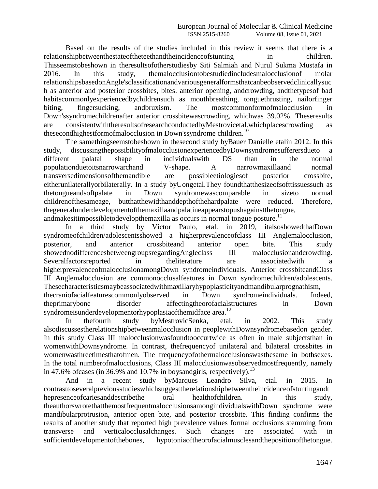Based on the results of the studies included in this review it seems that there is a relationshipbetweenthestateoftheteethandtheincidenceofstunting in children. Thisseemstobeshown in theresultsofotherstudiesby Siti Salmiah and Nurul Sukma Mustafa in 2016. In this study, themalocclusiontobestudiedincludesmalocclusionof molar relationshipsbasedonAngle'sclassificationandvariousgeneralformsthatcanbeobservedclinicallysuc h as anterior and posterior crossbites, bites. anterior opening, andcrowding, andthetypesof bad habitscommonlyexperiencedbychildrensuch as mouthbreathing, tonguethrusting, nailorfinger biting, fingersucking, andbruxism. The mostcommonformofmalocclusion in Down'ssyndromechildrenafter anterior crossbitewascrowding, whichwas 39.02%. Theseresults are consistentwiththeresultsofresearchconductedbyMestrovicetal.whichplacescrowding as thesecondhighestformofmalocclusion in Down's syndrome children.<sup>10</sup>

The samethingseemstobeshown in thesecond study byBauer Danielle etalin 2012. In this study, discussingthepossibilityofmalocclusionexperiencedbyDownsyndromesufferersdueto a different palatal shape in individualswith DS than in the normal populationduetoitsnarrowarchand V-shape. A narrowmaxillaand normal transversedimensionsofthemandible are possibleetiologiesof posterior crossbite, eitherunilaterallyorbilaterally. In a study byUongetal.They foundthatthesizeofsofttissuessuch as thetongueandsoftpalate in Down syndromewascomparable in sizeto normal childrenofthesameage, butthatthewidthanddepthofthehardpalate were reduced. Therefore, thegeneralunderdevelopmentofthemaxillaandpalatineappearstopushagainstthetongue, andmakesitimpossibletodevelopthemaxilla as occurs in normal tongue posture.<sup>11</sup>

In a third study by Victor Paulo, etal. in 2019, italsoshowedthatDown syndromeofchildren/adolescentsshowed a higherprevalenceofclass III Anglemalocclusion, posterior, and anterior crossbiteand anterior open bite. This study showednodifferencesbetweengroupsregardingAngleclass III malocclusionandcrowding. Severalfactorsreported in theliterature are associatedwith a higherprevalenceofmalocclusionamongDown syndromeindividuals. Anterior crossbiteandClass III Anglemalocclusion are commonocclusalfeatures in Down syndromechildren/adolescents. Thesecharacteristicsmaybeassociatedwithmaxillaryhypoplasticityandmandibularprognathism, thecraniofacialfeaturescommonlyobserved in Down syndromeindividuals. Indeed, theprimarybone disorder affectingtheorofacialstructures in Down syndromeisunderdevelopmentorhypoplasiaofthemidface area.<sup>12</sup>

In thefourth study byMestrovicSenka, etal. in 2002. This study alsodiscussestherelationshipbetweenmalocclusion in peoplewithDownsyndromebasedon gender. In this study Class III malocclusionwasfoundtooccurtwice as often in male subjectsthan in womenwithDownsyndrome. In contrast, thefrequencyof unilateral and bilateral crossbites in womenwasthreetimesthatofmen. The frequencyofothermalocclusionswasthesame in bothsexes. In the total numberofmalocclusions, Class III malocclusionwasobservedmostfrequently, namely in 47.6% of cases (in 36.9% and 10.7% in boysandgirls, respectively).<sup>13</sup>

And in a recent study byMarques Leandro Silva, etal. in 2015. In contrasttoseveralpreviousstudieswhichsuggesttherelationshipbetweentheincidenceofstuntingandt hepresenceofcariesanddescribethe oral healthofchildren. In this study, theauthorswrotethatthemostfrequentmalocclusionsamongindividualswithDown syndrome were mandibularprotrusion, anterior open bite, and posterior crossbite. This finding confirms the results of another study that reported high prevalence values formal occlusions stemming from transverse and verticalocclusalchanges. Such changes are associated with in sufficientdevelopmentofthebones, hypotoniaoftheorofacialmusclesandthepositionofthetongue.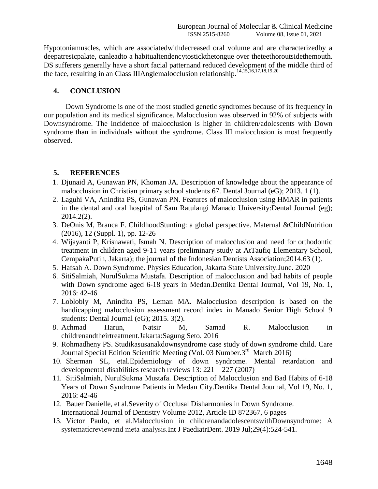Hypotoniamuscles, which are associatedwithdecreased oral volume and are characterizedby a deepatresicpalate, canleadto a habitualtendencytostickthetongue over theteethoroutsidethemouth. DS sufferers generally have a short facial patternand reduced development of the middle third of the face, resulting in an Class IIIAnglemalocclusion relationship.14,15,16,17,18,19,20

### **4. CONCLUSION**

Down Syndrome is one of the most studied genetic syndromes because of its frequency in our population and its medical significance. Malocclusion was observed in 92% of subjects with Downsyndrome. The incidence of malocclusion is higher in children/adolescents with Down syndrome than in individuals without the syndrome. Class III malocclusion is most frequently observed.

#### **5. REFERENCES**

- 1. Djunaid A, Gunawan PN, Khoman JA. Description of knowledge about the appearance of malocclusion in Christian primary school students 67. Dental Journal (eG); 2013. 1 (1).
- 2. Laguhi VA, Anindita PS, Gunawan PN. Features of malocclusion using HMAR in patients in the dental and oral hospital of Sam Ratulangi Manado University:Dental Journal (eg); 2014.2(2).
- 3. DeOnis M, Branca F. ChildhoodStunting: a global perspective. Maternal &ChildNutrition (2016), 12 (Suppl. 1), pp. 12-26
- 4. Wijayanti P, Krisnawati, Ismah N. Description of malocclusion and need for orthodontic treatment in children aged 9-11 years (preliminary study at AtTaufiq Elementary School, CempakaPutih, Jakarta); the journal of the Indonesian Dentists Association;2014.63 (1).
- 5. Hafsah A. Down Syndrome. Physics Education, Jakarta State University.June. 2020
- 6. SitiSalmiah, NurulSukma Mustafa. Description of malocclusion and bad habits of people with Down syndrome aged 6-18 years in Medan.Dentika Dental Journal, Vol 19, No. 1, 2016: 42-46
- 7. Loblobly M, Anindita PS, Leman MA. Malocclusion description is based on the handicapping malocclusion assessment record index in Manado Senior High School 9 students: Dental Journal (eG); 2015. 3(2).
- 8. Achmad Harun, Natsir M, Samad R. Malocclusion in childrenandtheirtreatment.Jakarta:Sagung Seto. 2016
- 9. Rohmadheny PS. Studikasusanakdownsyndrome case study of down syndrome child. Care Journal Special Edition Scientific Meeting (Vol. 03 Number.3rd March 2016)
- 10. Sherman SL, etal.Epidemiology of down syndrome. Mental retardation and developmental disabilities research reviews 13: 221 – 227 (2007)
- 11. SitiSalmiah, NurulSukma Mustafa. Description of Malocclusion and Bad Habits of 6-18 Years of Down Syndrome Patients in Medan City.Dentika Dental Journal, Vol 19, No. 1, 2016: 42-46
- 12. Bauer Danielle, et al.Severity of Occlusal Disharmonies in Down Syndrome. International Journal of Dentistry Volume 2012, Article ID 872367, 6 pages
- 13. Victor Paulo, et al.Malocclusion in childrenandadolescentswithDownsyndrome: A systematicreviewand meta‐analysis.Int J PaediatrDent. 2019 Jul;29(4):524-541.